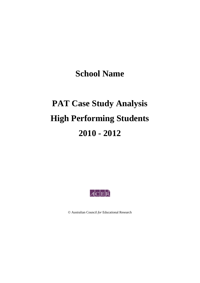**School Name** 

# **PAT Case Study Analysis High Performing Students 2010 - 2012**



Australian Council *for* Educational Research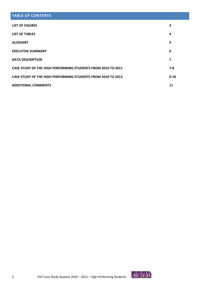### **TABLE OF CONTENTS**

| <b>LIST OF FIGURES</b>                                              | 3        |
|---------------------------------------------------------------------|----------|
| <b>LIST OF TABLES</b>                                               | 4        |
| <b>GLOSSARY</b>                                                     | 5        |
| <b>EXECUTIVE SUMMARY</b>                                            | 6        |
| <b>DATA DESCRIPTION</b>                                             | 7        |
| <b>CASE STUDY OF THE HIGH PERFORMING STUDENTS FROM 2010 TO 2011</b> | 7-8      |
| <b>CASE STUDY OF THE HIGH PERFORMING STUDENTS FROM 2010 TO 2012</b> | $9 - 10$ |
| <b>ADDITIONAL COMMENTS</b>                                          | 11       |

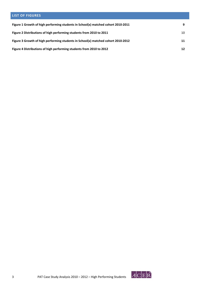## **LIST OF FIGURES Figure 1 Growth of high performing students in School(x) matched cohort 2010‐2011 9 Figure 2 Distributions of high performing students from 2010 to 2011**  10 **Figure 3 Growth of high performing students in School(x) matched cohort 2010‐2012 11 Figure 4 Distributions of high performing students from 2010 to 2012 12**

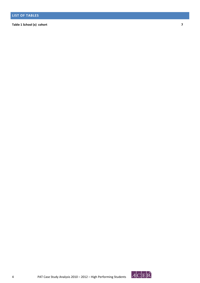**Table 1 School (x) cohort 7**

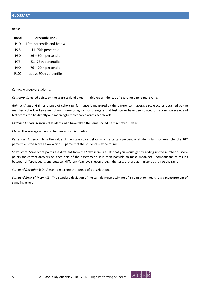*Bands*:

| <b>Band</b>     | <b>Percentile Rank</b>    |  |  |  |  |  |  |  |
|-----------------|---------------------------|--|--|--|--|--|--|--|
| P10             | 10th percentile and below |  |  |  |  |  |  |  |
| P <sub>25</sub> | 11-25th percentile        |  |  |  |  |  |  |  |
| P50             | 26 - 50th percentile      |  |  |  |  |  |  |  |
| P75             | 51 -75th percentile       |  |  |  |  |  |  |  |
| P90             | 76 - 90th percentile      |  |  |  |  |  |  |  |
| P100            | above 90th percentile     |  |  |  |  |  |  |  |

*Cohort*: A group of students.

*Cut score:* Selected points on the score scale of a test. In this report, the cut off score for a percentile rank.

*Gain or change*: Gain or change of cohort performance is measured by the difference in average scale scores obtained by the matched cohort. A key assumption in measuring gain or change is that test scores have been placed on a common scale, and test scores can be directly and meaningfully compared across Year levels.

*Matched Cohort*: A group of students who have taken the same scaled test in previous years.

*Mean:* The average or central tendency of a distribution.

*Percentile*: A percentile is the value of the scale score below which a certain percent of students fall. For example, the 10<sup>th</sup> percentile is the score below which 10 percent of the students may be found.

*Scale score*: **S**cale score points are different from the "raw score" results that you would get by adding up the number of score points for correct answers on each part of the assessment. It is then possible to make meaningful comparisons of results between different years, and between different Year levels, even though the tests that are administered are not the same.

*Standard Deviation* (SD): A way to measure the spread of a distribution.

*Standard Error of Mean* (SE): The standard deviation of the sample mean estimate of a population mean. It is a measurement of sampling error.

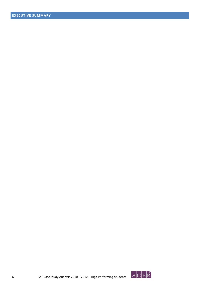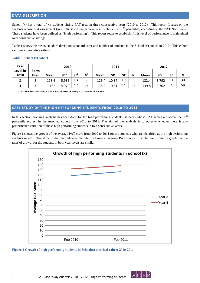#### **DATA DESCRIPTION**

School (x) has a total of xx students sitting PAT tests in three consecutive years (2010 to 2012). This report focuses on the students whose first assessment (in 2010), saw them achieve results above the  $90<sup>th</sup>$  percentile, according to the PAT Norm table. These students have been defined as "High performing". This report seeks to establish if this level of performance is maintained over consecutive sittings.

Table 1 shows the mean, standard deviation, standard error and number of students in the School (x) cohort in 2010. This cohort sat three consecutive sittings.

#### **Table 1 School (x) cohort**

| Year     |             | 2010        |                 |                 |       | 2011        |       |           |    | 2012        |           |           |    |
|----------|-------------|-------------|-----------------|-----------------|-------|-------------|-------|-----------|----|-------------|-----------|-----------|----|
| Level in | <b>Form</b> |             |                 |                 |       |             |       |           |    |             |           |           |    |
| 2010     | <b>Used</b> | <b>Mean</b> | SD <sup>1</sup> | SE <sup>2</sup> | $N^3$ | <b>Mean</b> | SD    | <b>SE</b> | N  | <b>Mean</b> | <b>SD</b> | <b>SE</b> | N  |
|          |             | 118.6       | 5.986           | 1.3             | 30    | 126.4       | 10.87 | 1.2       | 30 | 132.4       | 5.792     | 1.1       | 30 |
| 4        |             | 132         | 4.979           | 11<br>ᆠᆞᆂ       | 59    | 138.2       | 10.81 | 1.1       | 59 | 139.8       | 9.702     |           | 59 |

1. **SD: Standard Deviation; 2. SE: Standard Error of Mean; 3. N: Number of Students**

#### **CASE STUDY OF THE HIGH PERFORMING STUDENTS FROM 2010 TO 2011**

In this section, tracking analysis has been done for the high performing students (students whose PAT scores are above the 90<sup>th</sup> percentile scores) in the matched cohort from 2010 to 2011. The aim of the analysis is to observe whether there is any performance variation of these high performing students in two consecutive years.

Figure 1 shows the growth of the average PAT score from 2010 to 2011 for the students who are identified as the high performing students in 2010. The slope of the line indicates the rate of change in average PAT scores. It can be seen from the graph that the rates of growth for the students in both year levels are similar.



**Figure 1 Growth of high performing students in School(x) matched cohort 2010-2011** 

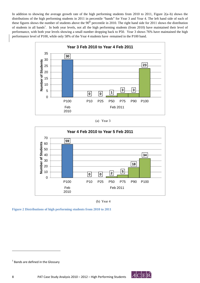In addition to showing the average growth rate of the high performing students from 2010 to 2011, Figure 2(a–b) shows the distributions of the high performing students in 2011 in percentile "bands" for Year 3 and Year 4. The left hand side of each of these figures shows the number of students above the 90<sup>th</sup> percentile in 2010. The right hand side for 2011 shows the distribution of students in all bands<sup>1</sup>. In both year levels, not all the high performing students (from 2010) have maintained their level of performance, with both year levels showing a small number dropping back to P50. Year 3 shows 76% have maintained the high performance level of P100, while only 58% of the Year 4 students have remained in the P100 band.







(b) Year 4

**Figure 2 Distributions of high performing students from 2010 to 2011** 

<u> Andrew Maria (1989)</u>



 $<sup>1</sup>$  Bands are defined in the Glossary</sup>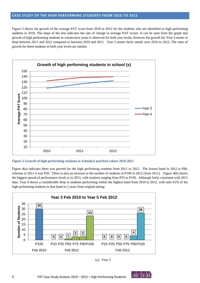#### **CASE STUDY OF THE HIGH PERFORMING STUDENTS FROM 2010 TO 2012**

Figure 3 shows the growth of the average PAT score from 2010 to 2012 for the students who are identified as high performing students in 2010. The slope of the line indicates the rate of change in average PAT scores. It can be seen from the graph that growth of high performing students in consecutive years is observed for both year levels, however the growth for Year 4 seems to drop between 2011 and 2012 compared to between 2010 and 2011. Year 3 seems fairly steady over 2010 to 2012. The rates of growth for these students in both year levels are similar.



**Figure 3 Growth of high performing students in School(x) matched cohort 2010-2012** 

Figure 4(a) indicates there was growth for the high performing students from 2011 to 2012. The lowest band in 2012 is P90, whereas in 2011 it was P50. There is also an increase in the number of students in P100 in 2012 (from 2011). Figure 4(b) shows the biggest spread of performance levels is in 2012, with students ranging from P25 to P100. Although fairly consistent with 2011 data, Year 4 shows a considerable drop in students performing within the highest band from 2010 to 2012, with only 61% of the high performing students in that band in 2 years from original sitting.





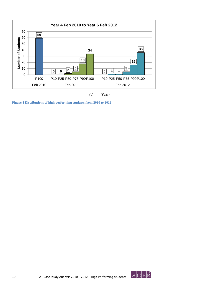



**Figure 4 Distributions of high performing students from 2010 to 2012**